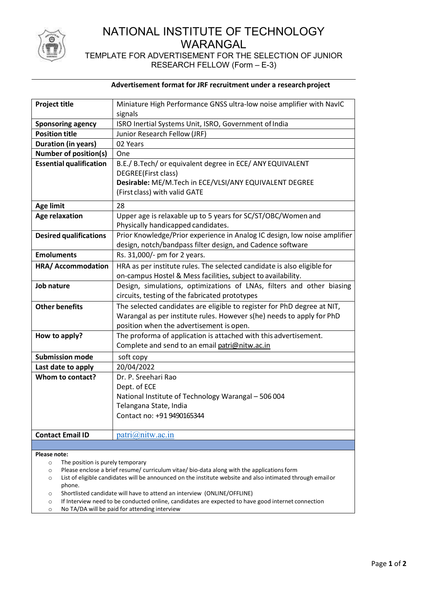

# NATIONAL INSTITUTE OF TECHNOLOGY WARANGAL

## TEMPLATE FOR ADVERTISEMENT FOR THE SELECTION OF JUNIOR RESEARCH FELLOW (Form – E-3)

#### Advertisement format for JRF recruitment under a research project

| <b>Project title</b>           | Miniature High Performance GNSS ultra-low noise amplifier with NavIC      |
|--------------------------------|---------------------------------------------------------------------------|
|                                | signals                                                                   |
| <b>Sponsoring agency</b>       | ISRO Inertial Systems Unit, ISRO, Government of India                     |
| <b>Position title</b>          | Junior Research Fellow (JRF)                                              |
| <b>Duration (in years)</b>     | 02 Years                                                                  |
| <b>Number of position(s)</b>   | One                                                                       |
| <b>Essential qualification</b> | B.E./ B.Tech/ or equivalent degree in ECE/ ANY EQUIVALENT                 |
|                                | DEGREE(First class)                                                       |
|                                | Desirable: ME/M.Tech in ECE/VLSI/ANY EQUIVALENT DEGREE                    |
|                                | (First class) with valid GATE                                             |
| <b>Age limit</b>               | 28                                                                        |
| <b>Age relaxation</b>          | Upper age is relaxable up to 5 years for SC/ST/OBC/Women and              |
|                                | Physically handicapped candidates.                                        |
| <b>Desired qualifications</b>  | Prior Knowledge/Prior experience in Analog IC design, low noise amplifier |
|                                | design, notch/bandpass filter design, and Cadence software                |
| <b>Emoluments</b>              | Rs. 31,000/- pm for 2 years.                                              |
| <b>HRA/ Accommodation</b>      | HRA as per institute rules. The selected candidate is also eligible for   |
|                                | on-campus Hostel & Mess facilities, subject to availability.              |
| Job nature                     | Design, simulations, optimizations of LNAs, filters and other biasing     |
|                                | circuits, testing of the fabricated prototypes                            |
| <b>Other benefits</b>          | The selected candidates are eligible to register for PhD degree at NIT,   |
|                                | Warangal as per institute rules. However s(he) needs to apply for PhD     |
|                                | position when the advertisement is open.                                  |
| How to apply?                  | The proforma of application is attached with this advertisement.          |
|                                | Complete and send to an email patri@nitw.ac.in                            |
| <b>Submission mode</b>         | soft copy                                                                 |
| Last date to apply             | 20/04/2022                                                                |
| Whom to contact?               | Dr. P. Sreehari Rao                                                       |
|                                | Dept. of ECE                                                              |
|                                | National Institute of Technology Warangal - 506 004                       |
|                                | Telangana State, India                                                    |
|                                | Contact no: +91 9490165344                                                |
|                                |                                                                           |
| <b>Contact Email ID</b>        | patri@nitw.ac.in                                                          |
|                                |                                                                           |

Please note:

- o The position is purely temporary
- o Please enclose a brief resume/ curriculum vitae/ bio-data along with the applications form
- o List of eligible candidates will be announced on the institute website and also intimated through email or phone.
- o Shortlisted candidate will have to attend an interview (ONLINE/OFFLINE)
- o If Interview need to be conducted online, candidates are expected to have good internet connection
- o No TA/DA will be paid for attending interview